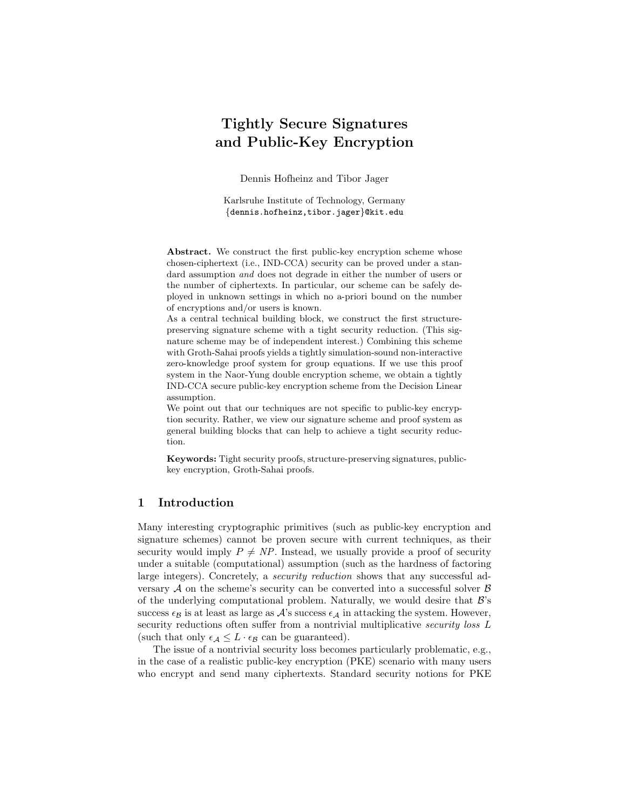# Tightly Secure Signatures and Public-Key Encryption

Dennis Hofheinz and Tibor Jager

Karlsruhe Institute of Technology, Germany {dennis.hofheinz,tibor.jager}@kit.edu

Abstract. We construct the first public-key encryption scheme whose chosen-ciphertext (i.e., IND-CCA) security can be proved under a standard assumption *and* does not degrade in either the number of users or the number of ciphertexts. In particular, our scheme can be safely deployed in unknown settings in which no a-priori bound on the number of encryptions and/or users is known.

As a central technical building block, we construct the first structurepreserving signature scheme with a tight security reduction. (This signature scheme may be of independent interest.) Combining this scheme with Groth-Sahai proofs yields a tightly simulation-sound non-interactive zero-knowledge proof system for group equations. If we use this proof system in the Naor-Yung double encryption scheme, we obtain a tightly IND-CCA secure public-key encryption scheme from the Decision Linear assumption.

We point out that our techniques are not specific to public-key encryption security. Rather, we view our signature scheme and proof system as general building blocks that can help to achieve a tight security reduction.

Keywords: Tight security proofs, structure-preserving signatures, publickey encryption, Groth-Sahai proofs.

# 1 Introduction

Many interesting cryptographic primitives (such as public-key encryption and signature schemes) cannot be proven secure with current techniques, as their security would imply  $P \neq NP$ . Instead, we usually provide a proof of security under a suitable (computational) assumption (such as the hardness of factoring large integers). Concretely, a security reduction shows that any successful adversary  $A$  on the scheme's security can be converted into a successful solver  $B$ of the underlying computational problem. Naturally, we would desire that  $\mathcal{B}$ 's success  $\epsilon_B$  is at least as large as A's success  $\epsilon_A$  in attacking the system. However, security reductions often suffer from a nontrivial multiplicative *security loss* L (such that only  $\epsilon_{\mathcal{A}} \leq L \cdot \epsilon_{\mathcal{B}}$  can be guaranteed).

The issue of a nontrivial security loss becomes particularly problematic, e.g., in the case of a realistic public-key encryption (PKE) scenario with many users who encrypt and send many ciphertexts. Standard security notions for PKE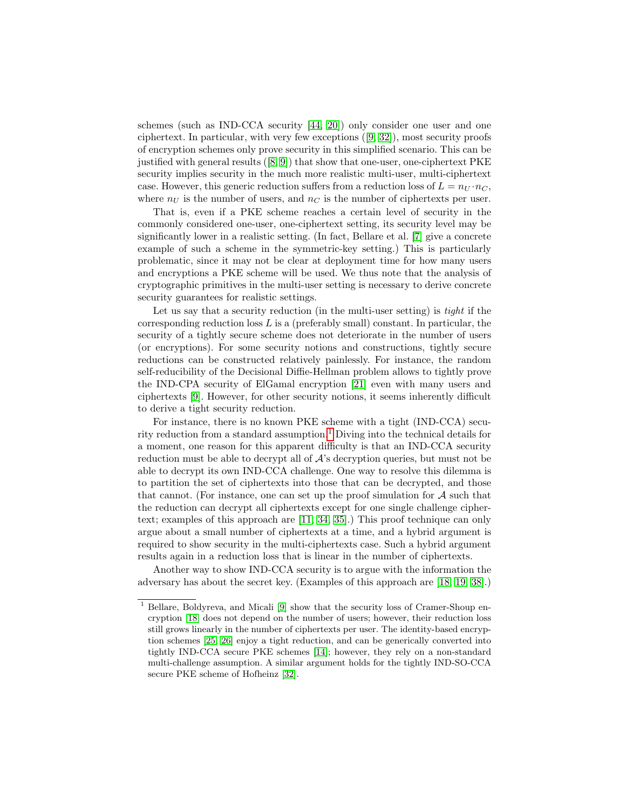schemes (such as IND-CCA security [\[44,](#page-17-0) [20\]](#page-16-0)) only consider one user and one ciphertext. In particular, with very few exceptions ([\[9,](#page-15-0) [32\]](#page-16-1)), most security proofs of encryption schemes only prove security in this simplified scenario. This can be justified with general results ([\[8,](#page-15-1) [9\]](#page-15-0)) that show that one-user, one-ciphertext PKE security implies security in the much more realistic multi-user, multi-ciphertext case. However, this generic reduction suffers from a reduction loss of  $L = n_U \cdot n_C$ , where  $n_U$  is the number of users, and  $n_C$  is the number of ciphertexts per user.

That is, even if a PKE scheme reaches a certain level of security in the commonly considered one-user, one-ciphertext setting, its security level may be significantly lower in a realistic setting. (In fact, Bellare et al. [\[7\]](#page-15-2) give a concrete example of such a scheme in the symmetric-key setting.) This is particularly problematic, since it may not be clear at deployment time for how many users and encryptions a PKE scheme will be used. We thus note that the analysis of cryptographic primitives in the multi-user setting is necessary to derive concrete security guarantees for realistic settings.

Let us say that a security reduction (in the multi-user setting) is *tight* if the corresponding reduction loss  $L$  is a (preferably small) constant. In particular, the security of a tightly secure scheme does not deteriorate in the number of users (or encryptions). For some security notions and constructions, tightly secure reductions can be constructed relatively painlessly. For instance, the random self-reducibility of the Decisional Diffie-Hellman problem allows to tightly prove the IND-CPA security of ElGamal encryption [\[21\]](#page-16-2) even with many users and ciphertexts [\[9\]](#page-15-0). However, for other security notions, it seems inherently difficult to derive a tight security reduction.

For instance, there is no known PKE scheme with a tight (IND-CCA) security reduction from a standard assumption.[1](#page-1-0) Diving into the technical details for a moment, one reason for this apparent difficulty is that an IND-CCA security reduction must be able to decrypt all of  $\mathcal{A}$ 's decryption queries, but must not be able to decrypt its own IND-CCA challenge. One way to resolve this dilemma is to partition the set of ciphertexts into those that can be decrypted, and those that cannot. (For instance, one can set up the proof simulation for  $A$  such that the reduction can decrypt all ciphertexts except for one single challenge ciphertext; examples of this approach are [\[11,](#page-15-3) [34,](#page-16-3) [35\]](#page-17-1).) This proof technique can only argue about a small number of ciphertexts at a time, and a hybrid argument is required to show security in the multi-ciphertexts case. Such a hybrid argument results again in a reduction loss that is linear in the number of ciphertexts.

Another way to show IND-CCA security is to argue with the information the adversary has about the secret key. (Examples of this approach are [\[18,](#page-15-4) [19,](#page-16-4) [38\]](#page-17-2).)

<span id="page-1-0"></span> $^{\rm 1}$  Bellare, Boldyreva, and Micali [\[9\]](#page-15-0) show that the security loss of Cramer-Shoup encryption [\[18\]](#page-15-4) does not depend on the number of users; however, their reduction loss still grows linearly in the number of ciphertexts per user. The identity-based encryption schemes [\[25,](#page-16-5) [26\]](#page-16-6) enjoy a tight reduction, and can be generically converted into tightly IND-CCA secure PKE schemes [\[14\]](#page-15-5); however, they rely on a non-standard multi-challenge assumption. A similar argument holds for the tightly IND-SO-CCA secure PKE scheme of Hofheinz [\[32\]](#page-16-1).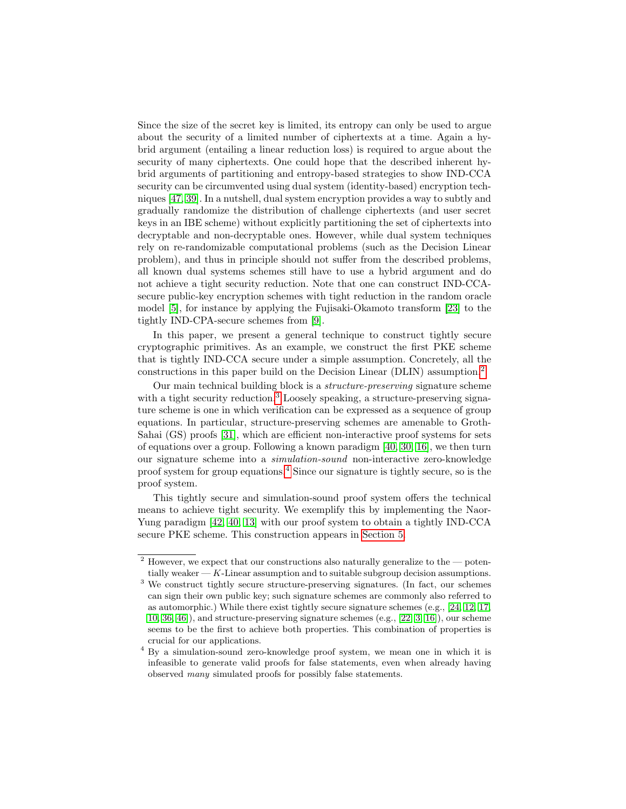Since the size of the secret key is limited, its entropy can only be used to argue about the security of a limited number of ciphertexts at a time. Again a hybrid argument (entailing a linear reduction loss) is required to argue about the security of many ciphertexts. One could hope that the described inherent hybrid arguments of partitioning and entropy-based strategies to show IND-CCA security can be circumvented using dual system (identity-based) encryption techniques [\[47,](#page-17-3) [39\]](#page-17-4). In a nutshell, dual system encryption provides a way to subtly and gradually randomize the distribution of challenge ciphertexts (and user secret keys in an IBE scheme) without explicitly partitioning the set of ciphertexts into decryptable and non-decryptable ones. However, while dual system techniques rely on re-randomizable computational problems (such as the Decision Linear problem), and thus in principle should not suffer from the described problems, all known dual systems schemes still have to use a hybrid argument and do not achieve a tight security reduction. Note that one can construct IND-CCAsecure public-key encryption schemes with tight reduction in the random oracle model [\[5\]](#page-15-6), for instance by applying the Fujisaki-Okamoto transform [\[23\]](#page-16-7) to the tightly IND-CPA-secure schemes from [\[9\]](#page-15-0).

In this paper, we present a general technique to construct tightly secure cryptographic primitives. As an example, we construct the first PKE scheme that is tightly IND-CCA secure under a simple assumption. Concretely, all the constructions in this paper build on the Decision Linear (DLIN) assumption.<sup>[2](#page-2-0)</sup>

Our main technical building block is a structure-preserving signature scheme with a tight security reduction.<sup>[3](#page-2-1)</sup> Loosely speaking, a structure-preserving signature scheme is one in which verification can be expressed as a sequence of group equations. In particular, structure-preserving schemes are amenable to Groth-Sahai (GS) proofs [\[31\]](#page-16-8), which are efficient non-interactive proof systems for sets of equations over a group. Following a known paradigm [\[40,](#page-17-5) [30,](#page-16-9) [16\]](#page-15-7), we then turn our signature scheme into a simulation-sound non-interactive zero-knowledge proof system for group equations.[4](#page-2-2) Since our signature is tightly secure, so is the proof system.

This tightly secure and simulation-sound proof system offers the technical means to achieve tight security. We exemplify this by implementing the Naor-Yung paradigm [\[42,](#page-17-6) [40,](#page-17-5) [13\]](#page-15-8) with our proof system to obtain a tightly IND-CCA secure PKE scheme. This construction appears in [Section 5.](#page-12-0)

<span id="page-2-0"></span> $2$  However, we expect that our constructions also naturally generalize to the  $-$  potentially weaker  $-K$ -Linear assumption and to suitable subgroup decision assumptions.

<span id="page-2-1"></span><sup>&</sup>lt;sup>3</sup> We construct tightly secure structure-preserving signatures. (In fact, our schemes can sign their own public key; such signature schemes are commonly also referred to as automorphic.) While there exist tightly secure signature schemes (e.g., [\[24,](#page-16-10) [12,](#page-15-9) [17,](#page-15-10) [10,](#page-15-11) [36,](#page-17-7) [46\]](#page-17-8)), and structure-preserving signature schemes (e.g., [\[22,](#page-16-11) [3,](#page-14-0) [16\]](#page-15-7)), our scheme seems to be the first to achieve both properties. This combination of properties is crucial for our applications.

<span id="page-2-2"></span><sup>4</sup> By a simulation-sound zero-knowledge proof system, we mean one in which it is infeasible to generate valid proofs for false statements, even when already having observed many simulated proofs for possibly false statements.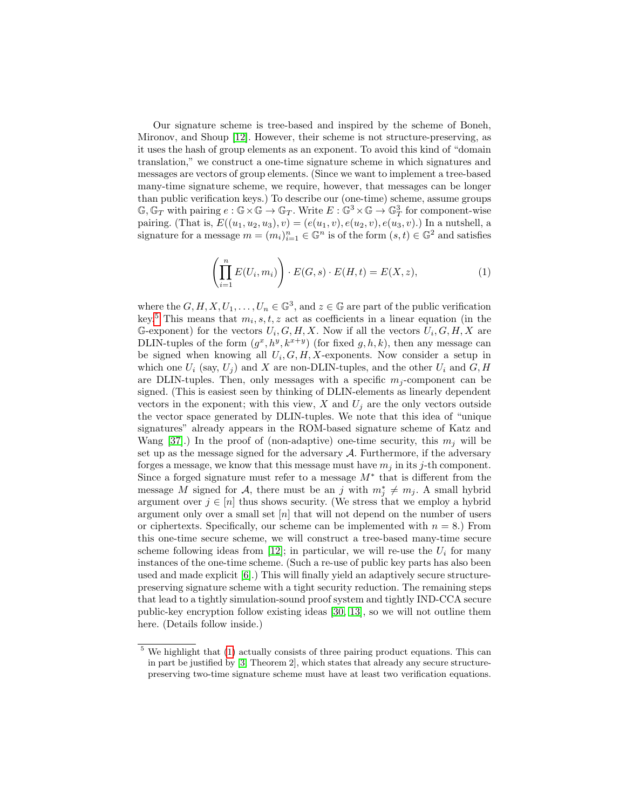Our signature scheme is tree-based and inspired by the scheme of Boneh, Mironov, and Shoup [\[12\]](#page-15-9). However, their scheme is not structure-preserving, as it uses the hash of group elements as an exponent. To avoid this kind of "domain translation," we construct a one-time signature scheme in which signatures and messages are vectors of group elements. (Since we want to implement a tree-based many-time signature scheme, we require, however, that messages can be longer than public verification keys.) To describe our (one-time) scheme, assume groups  $\mathbb{G}, \mathbb{G}_T$  with pairing  $e : \mathbb{G} \times \mathbb{G} \to \mathbb{G}_T$ . Write  $E : \mathbb{G}^3 \times \mathbb{G} \to \mathbb{G}_T^3$  for component-wise pairing. (That is,  $E((u_1, u_2, u_3), v) = (e(u_1, v), e(u_2, v), e(u_3, v))$  In a nutshell, a signature for a message  $m = (m_i)_{i=1}^n \in \mathbb{G}^n$  is of the form  $(s, t) \in \mathbb{G}^2$  and satisfies

$$
\left(\prod_{i=1}^{n} E(U_i, m_i)\right) \cdot E(G, s) \cdot E(H, t) = E(X, z),\tag{1}
$$

<span id="page-3-1"></span>where the  $G, H, X, U_1, \ldots, U_n \in \mathbb{G}^3$ , and  $z \in \mathbb{G}$  are part of the public verification key.<sup>[5](#page-3-0)</sup> This means that  $m_i, s, t, z$  act as coefficients in a linear equation (in the G-exponent) for the vectors  $U_i, G, H, X$ . Now if all the vectors  $U_i, G, H, X$  are DLIN-tuples of the form  $(g^x, h^y, k^{x+y})$  (for fixed  $g, h, k$ ), then any message can be signed when knowing all  $U_i$ ,  $G$ ,  $H$ ,  $X$ -exponents. Now consider a setup in which one  $U_i$  (say,  $U_j$ ) and X are non-DLIN-tuples, and the other  $U_i$  and  $G, H$ are DLIN-tuples. Then, only messages with a specific  $m_j$ -component can be signed. (This is easiest seen by thinking of DLIN-elements as linearly dependent vectors in the exponent; with this view,  $X$  and  $U_j$  are the only vectors outside the vector space generated by DLIN-tuples. We note that this idea of "unique signatures" already appears in the ROM-based signature scheme of Katz and Wang [\[37\]](#page-17-9).) In the proof of (non-adaptive) one-time security, this  $m_j$  will be set up as the message signed for the adversary  $A$ . Furthermore, if the adversary forges a message, we know that this message must have  $m_i$  in its j-th component. Since a forged signature must refer to a message  $M^*$  that is different from the message M signed for A, there must be an j with  $m_j^* \neq m_j$ . A small hybrid argument over  $j \in [n]$  thus shows security. (We stress that we employ a hybrid argument only over a small set  $[n]$  that will not depend on the number of users or ciphertexts. Specifically, our scheme can be implemented with  $n = 8$ .) From this one-time secure scheme, we will construct a tree-based many-time secure scheme following ideas from [\[12\]](#page-15-9); in particular, we will re-use the  $U_i$  for many instances of the one-time scheme. (Such a re-use of public key parts has also been used and made explicit [\[6\]](#page-15-12).) This will finally yield an adaptively secure structurepreserving signature scheme with a tight security reduction. The remaining steps that lead to a tightly simulation-sound proof system and tightly IND-CCA secure public-key encryption follow existing ideas [\[30,](#page-16-9) [13\]](#page-15-8), so we will not outline them here. (Details follow inside.)

<span id="page-3-0"></span><sup>5</sup> We highlight that [\(1\)](#page-3-1) actually consists of three pairing product equations. This can in part be justified by [\[3,](#page-14-0) Theorem 2], which states that already any secure structurepreserving two-time signature scheme must have at least two verification equations.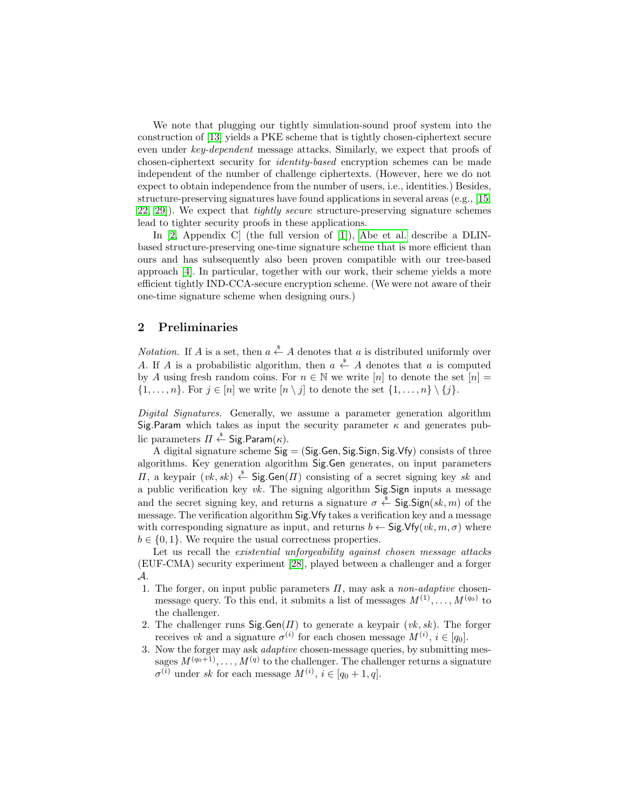We note that plugging our tightly simulation-sound proof system into the construction of [\[13\]](#page-15-8) yields a PKE scheme that is tightly chosen-ciphertext secure even under key-dependent message attacks. Similarly, we expect that proofs of chosen-ciphertext security for identity-based encryption schemes can be made independent of the number of challenge ciphertexts. (However, here we do not expect to obtain independence from the number of users, i.e., identities.) Besides, structure-preserving signatures have found applications in several areas (e.g., [\[15,](#page-15-13) [22,](#page-16-11) [29\]](#page-16-12)). We expect that tightly secure structure-preserving signature schemes lead to tighter security proofs in these applications.

In [\[2,](#page-14-1) Appendix C] (the full version of [\[1\]](#page-14-2)), [Abe et al.](#page-14-1) describe a DLINbased structure-preserving one-time signature scheme that is more efficient than ours and has subsequently also been proven compatible with our tree-based approach [\[4\]](#page-14-3). In particular, together with our work, their scheme yields a more efficient tightly IND-CCA-secure encryption scheme. (We were not aware of their one-time signature scheme when designing ours.)

# <span id="page-4-0"></span>2 Preliminaries

*Notation*. If A is a set, then  $a \stackrel{\hspace{0.1em}\mathsf{\scriptscriptstyle\$}}{\leftarrow} A$  denotes that a is distributed uniformly over A. If A is a probabilistic algorithm, then  $a \stackrel{\hspace{0.1em}\mathsf{\scriptscriptstyle\$}}{\leftarrow} A$  denotes that a is computed by A using fresh random coins. For  $n \in \mathbb{N}$  we write  $[n]$  to denote the set  $[n] =$  $\{1, \ldots, n\}$ . For  $j \in [n]$  we write  $[n \setminus j]$  to denote the set  $\{1, \ldots, n\} \setminus \{j\}$ .

Digital Signatures. Generally, we assume a parameter generation algorithm Sig.Param which takes as input the security parameter  $\kappa$  and generates public parameters  $\varPi \overset{\hspace{0.1em}\mathsf{\scriptscriptstyle\$}}{\leftarrow}$  Sig.Param $(\kappa).$ 

A digital signature scheme  $Sig = (Sig.Gen, Sig.Sign, Sig.Vfy)$  consists of three algorithms. Key generation algorithm Sig.Gen generates, on input parameters  $\Pi$ , a keypair (*vk*, *sk*)  $\stackrel{\$}{\leftarrow}$  Sig. Gen( $\Pi$ ) consisting of a secret signing key *sk* and a public verification key  $vk$ . The signing algorithm Sig.Sign inputs a message and the secret signing key, and returns a signature  $\sigma \stackrel{\hspace{0.1em}\mathsf{\scriptscriptstyle\$}}{\leftarrow}$  Sig.Sign $(\mathit{sk}, \mathit{m})$  of the message. The verification algorithm Sig.Vfy takes a verification key and a message with corresponding signature as input, and returns  $b \leftarrow \text{Sig.Vfy}(vk, m, \sigma)$  where  $b \in \{0, 1\}$ . We require the usual correctness properties.

Let us recall the *existential unforgeability against chosen message attacks* (EUF-CMA) security experiment [\[28\]](#page-16-13), played between a challenger and a forger A.

- 1. The forger, on input public parameters  $\Pi$ , may ask a *non-adaptive* chosenmessage query. To this end, it submits a list of messages  $M^{(1)}, \ldots, M^{(q_0)}$  to the challenger.
- 2. The challenger runs  $\textsf{Sig.Gen}(H)$  to generate a keypair  $(vk, sk)$ . The forger receives vk and a signature  $\sigma^{(i)}$  for each chosen message  $M^{(i)}$ ,  $i \in [q_0]$ .
- 3. Now the forger may ask adaptive chosen-message queries, by submitting messages  $M^{(q_0+1)}, \ldots, M^{(q)}$  to the challenger. The challenger returns a signature  $\sigma^{(i)}$  under sk for each message  $M^{(i)}$ ,  $i \in [q_0+1, q]$ .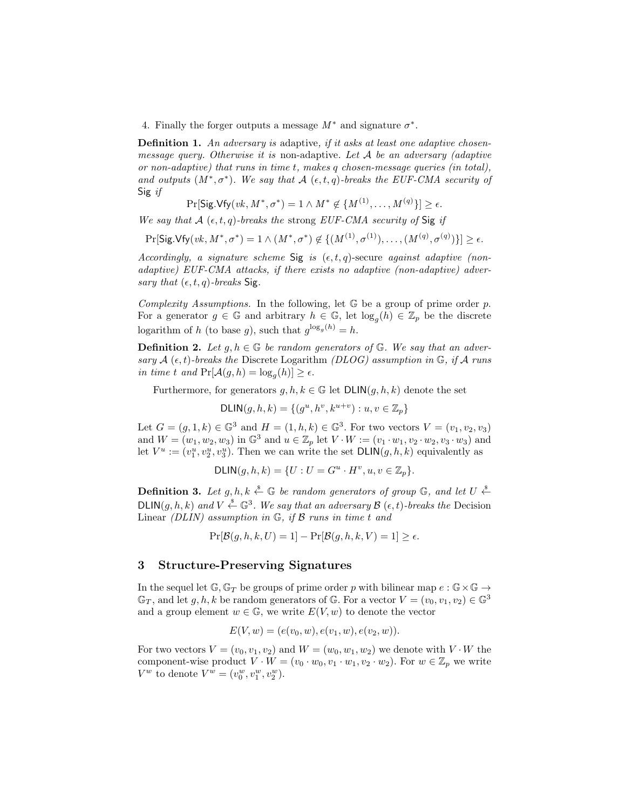4. Finally the forger outputs a message  $M^*$  and signature  $\sigma^*$ .

**Definition 1.** An adversary is adaptive, if it asks at least one adaptive chosenmessage query. Otherwise it is non-adaptive. Let  $A$  be an adversary (adaptive or non-adaptive) that runs in time t, makes q chosen-message queries (in total), and outputs  $(M^*, \sigma^*)$ . We say that A  $(\epsilon, t, q)$ -breaks the EUF-CMA security of Sig if

$$
\Pr[\mathsf{Sig.Vfy}(vk, M^*, \sigma^*) = 1 \land M^* \not\in \{M^{(1)}, \dots, M^{(q)}\}] \ge \epsilon.
$$

We say that  $A(\epsilon, t, q)$ -breaks the strong EUF-CMA security of Sig if

 $\Pr[\mathsf{Sig.Vfy}(vk, M^*, \sigma^*) = 1 \land (M^*, \sigma^*) \notin \{(M^{(1)}, \sigma^{(1)}), \dots, (M^{(q)}, \sigma^{(q)})\}] \ge \epsilon.$ 

Accordingly, a signature scheme Sig is  $(\epsilon, t, q)$ -secure against adaptive (nonadaptive) EUF-CMA attacks, if there exists no adaptive (non-adaptive) adversary that  $(\epsilon, t, q)$ -breaks Sig.

Complexity Assumptions. In the following, let  $\mathbb G$  be a group of prime order p. For a generator  $g \in \mathbb{G}$  and arbitrary  $h \in \mathbb{G}$ , let  $\log_g(h) \in \mathbb{Z}_p$  be the discrete logarithm of h (to base g), such that  $g^{\log_g(h)} = h$ .

**Definition 2.** Let  $g, h \in \mathbb{G}$  be random generators of  $\mathbb{G}$ . We say that an adversary  $A$  ( $\epsilon$ , t)-breaks the Discrete Logarithm (DLOG) assumption in  $\mathbb{G}$ , if A runs in time t and  $Pr[\mathcal{A}(g,h) = \log_g(h)] \ge \epsilon$ .

Furthermore, for generators  $g, h, k \in \mathbb{G}$  let  $DLIN(g, h, k)$  denote the set

DLIN
$$
(g, h, k) = \{(g^u, h^v, k^{u+v}) : u, v \in \mathbb{Z}_p\}
$$

Let  $G = (g, 1, k) \in \mathbb{G}^3$  and  $H = (1, h, k) \in \mathbb{G}^3$ . For two vectors  $V = (v_1, v_2, v_3)$ and  $W = (w_1, w_2, w_3)$  in  $\mathbb{G}^3$  and  $u \in \mathbb{Z}_p$  let  $V \cdot W := (v_1 \cdot w_1, v_2 \cdot w_2, v_3 \cdot w_3)$  and let  $V^u := (v_1^u, v_2^u, v_3^u)$ . Then we can write the set  $\text{DLIN}(g, h, k)$  equivalently as

$$
\mathsf{DLIN}(g, h, k) = \{ U : U = G^u \cdot H^v, u, v \in \mathbb{Z}_p \}.
$$

**Definition 3.** Let  $g, h, k \stackrel{\$}{\leftarrow} \mathbb{G}$  be random generators of group  $\mathbb{G}$ , and let  $U \stackrel{\$}{\leftarrow}$ DLIN $(g, h, k)$  and  $V \stackrel{\$}{\leftarrow} \mathbb{G}^3$ . We say that an adversary  $\mathcal{B}(\epsilon, t)$ -breaks the Decision Linear (DLIN) assumption in  $\mathbb{G}$ , if  $\mathcal{B}$  runs in time t and

 $Pr[\mathcal{B}(q, h, k, U) = 1] - Pr[\mathcal{B}(q, h, k, V) = 1] > \epsilon.$ 

#### <span id="page-5-0"></span>3 Structure-Preserving Signatures

In the sequel let  $\mathbb{G}, \mathbb{G}_T$  be groups of prime order p with bilinear map  $e : \mathbb{G} \times \mathbb{G} \to$  $\mathbb{G}_T$ , and let  $g, h, k$  be random generators of  $\mathbb{G}$ . For a vector  $V = (v_0, v_1, v_2) \in \mathbb{G}^3$ and a group element  $w \in \mathbb{G}$ , we write  $E(V, w)$  to denote the vector

$$
E(V, w) = (e(v_0, w), e(v_1, w), e(v_2, w)).
$$

For two vectors  $V = (v_0, v_1, v_2)$  and  $W = (w_0, w_1, w_2)$  we denote with  $V \cdot W$  the component-wise product  $V \cdot W = (v_0 \cdot w_0, v_1 \cdot w_1, v_2 \cdot w_2)$ . For  $w \in \mathbb{Z}_p$  we write  $V^w$  to denote  $V^w = (v_0^w, v_1^w, v_2^w)$ .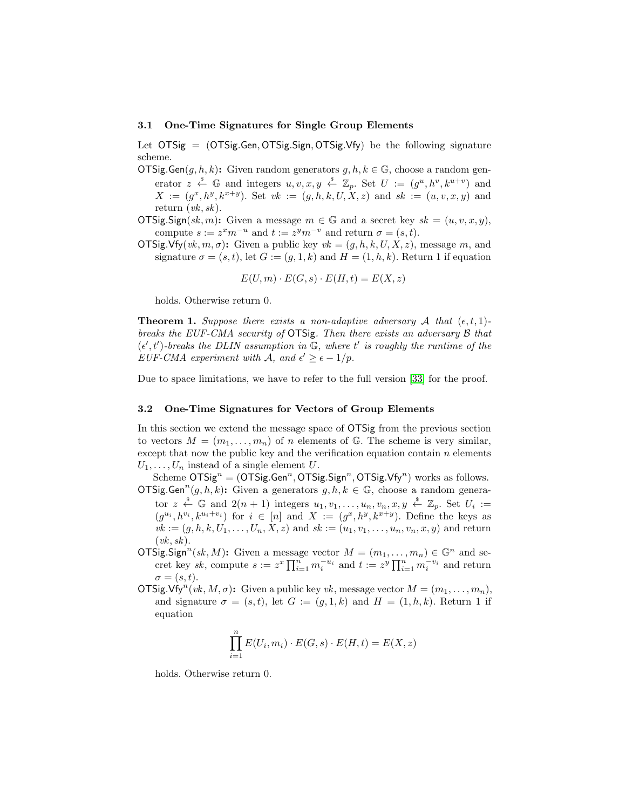#### 3.1 One-Time Signatures for Single Group Elements

Let  $OTSig = (OTSig.Gen, OTSig.Sign, OTSig.Vfy)$  be the following signature scheme.

- OTSig.Gen $(g, h, k)$ : Given random generators  $g, h, k \in \mathbb{G}$ , choose a random generator  $z \stackrel{\hspace{0.1em}\mathsf{\scriptscriptstyle\$}}{\leftarrow} \mathbb{G}$  and integers  $u, v, x, y \stackrel{\hspace{0.1em}\mathsf{\scriptscriptstyle\$}}{\leftarrow} \mathbb{Z}_p$ . Set  $U := (g^u, h^v, k^{u+v})$  and  $X := (g^x, h^y, k^{x+y})$ . Set  $vk := (g, h, k, U, X, z)$  and  $sk := (u, v, x, y)$  and return  $(vk, sk)$ .
- OTSig.Sign(sk, m): Given a message  $m \in \mathbb{G}$  and a secret key  $sk = (u, v, x, y)$ , compute  $s := z^x m^{-u}$  and  $t := z^y m^{-v}$  and return  $\sigma = (s, t)$ .
- $\overline{\text{OTSig.Vfy}(vk, m, \sigma)}$ : Given a public key  $vk = (g, h, k, U, X, z)$ , message m, and signature  $\sigma = (s, t)$ , let  $G := (g, 1, k)$  and  $H = (1, h, k)$ . Return 1 if equation

$$
E(U, m) \cdot E(G, s) \cdot E(H, t) = E(X, z)
$$

holds. Otherwise return 0.

**Theorem 1.** Suppose there exists a non-adaptive adversary A that  $(\epsilon, t, 1)$ breaks the EUF-CMA security of OTSig. Then there exists an adversary B that  $(\epsilon', t')$ -breaks the DLIN assumption in  $\mathbb{G}$ , where t' is roughly the runtime of the EUF-CMA experiment with A, and  $\epsilon' \geq \epsilon - 1/p$ .

Due to space limitations, we have to refer to the full version [\[33\]](#page-16-14) for the proof.

#### <span id="page-6-0"></span>3.2 One-Time Signatures for Vectors of Group Elements

In this section we extend the message space of OTSig from the previous section to vectors  $M = (m_1, \ldots, m_n)$  of n elements of G. The scheme is very similar, except that now the public key and the verification equation contain  $n$  elements  $U_1, \ldots, U_n$  instead of a single element U.

Scheme  $\overline{OTSig}^n = (\overline{OTSig} \cdot \overline{Gen}^n, \overline{OTSig} \cdot \overline{Sign}^n, \overline{OTSig} \cdot \overline{Vfg}^n)$  works as follows. OTSig.Gen<sup>n</sup> $(g, h, k)$ : Given a generators  $g, h, k \in \mathbb{G}$ , choose a random genera-

- tor  $z \stackrel{\$}{\leftarrow} \mathbb{G}$  and  $2(n + 1)$  integers  $u_1, v_1, \ldots, u_n, v_n, x, y \stackrel{\$}{\leftarrow} \mathbb{Z}_p$ . Set  $U_i :=$  $(g^{u_i}, h^{v_i}, k^{u_i+v_i})$  for  $i \in [n]$  and  $X := (g^x, h^y, k^{x+y})$ . Define the keys as  $vk := (q, h, k, U_1, \ldots, U_n, X, z)$  and  $sk := (u_1, v_1, \ldots, u_n, v_n, x, y)$  and return  $(vk, sk).$
- OTSig.Sign<sup>n</sup>(sk, M): Given a message vector  $M = (m_1, \ldots, m_n) \in \mathbb{G}^n$  and secret key sk, compute  $s := z^x \prod_{i=1}^n m_i^{-u_i}$  and  $t := z^y \prod_{i=1}^n m_i^{-v_i}$  and return  $\sigma = (s, t).$
- OTSig.Vfy<sup>n</sup>(*vk*, *M*,  $\sigma$ ): Given a public key *vk*, message vector  $M = (m_1, \ldots, m_n)$ , and signature  $\sigma = (s, t)$ , let  $G := (g, 1, k)$  and  $H = (1, h, k)$ . Return 1 if equation

$$
\prod_{i=1}^{n} E(U_i, m_i) \cdot E(G, s) \cdot E(H, t) = E(X, z)
$$

holds. Otherwise return 0.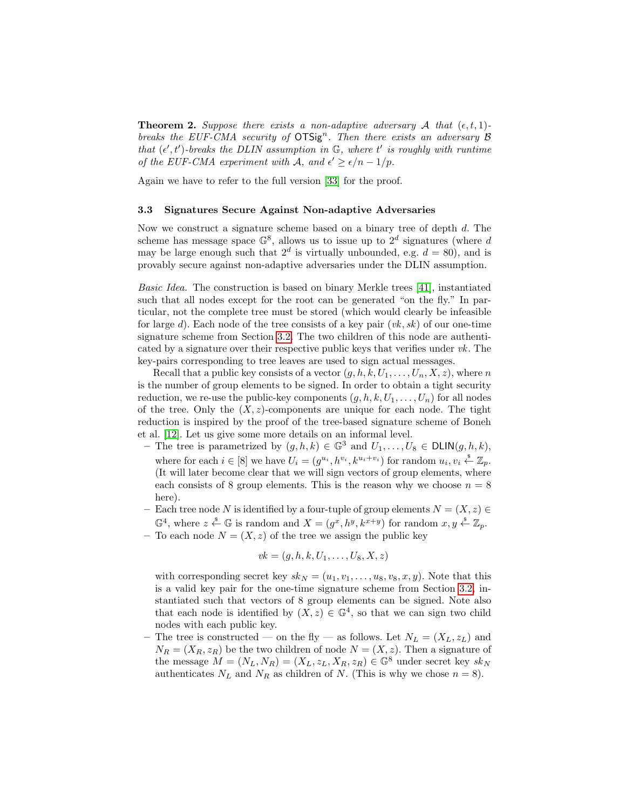**Theorem 2.** Suppose there exists a non-adaptive adversary A that  $(\epsilon, t, 1)$ breaks the EUF-CMA security of  $OTSig<sup>n</sup>$ . Then there exists an adversary  $\beta$ that  $(\epsilon', t')$ -breaks the DLIN assumption in  $\mathbb{G}$ , where  $t'$  is roughly with runtime of the EUF-CMA experiment with A, and  $\epsilon' \geq \epsilon/n - 1/p$ .

Again we have to refer to the full version [\[33\]](#page-16-14) for the proof.

#### <span id="page-7-0"></span>3.3 Signatures Secure Against Non-adaptive Adversaries

Now we construct a signature scheme based on a binary tree of depth d. The scheme has message space  $\mathbb{G}^8$ , allows us to issue up to  $2^d$  signatures (where d may be large enough such that  $2^d$  is virtually unbounded, e.g.  $d = 80$ , and is provably secure against non-adaptive adversaries under the DLIN assumption.

Basic Idea. The construction is based on binary Merkle trees [\[41\]](#page-17-10), instantiated such that all nodes except for the root can be generated "on the fly." In particular, not the complete tree must be stored (which would clearly be infeasible for large d). Each node of the tree consists of a key pair  $(vk, sk)$  of our one-time signature scheme from Section [3.2.](#page-6-0) The two children of this node are authenticated by a signature over their respective public keys that verifies under  $vk$ . The key-pairs corresponding to tree leaves are used to sign actual messages.

Recall that a public key consists of a vector  $(g, h, k, U_1, \ldots, U_n, X, z)$ , where n is the number of group elements to be signed. In order to obtain a tight security reduction, we re-use the public-key components  $(g, h, k, U_1, \ldots, U_n)$  for all nodes of the tree. Only the  $(X, z)$ -components are unique for each node. The tight reduction is inspired by the proof of the tree-based signature scheme of Boneh et al. [\[12\]](#page-15-9). Let us give some more details on an informal level.

- The tree is parametrized by  $(g, h, k) \in \mathbb{G}^3$  and  $U_1, \ldots, U_8 \in \mathsf{DLIN}(g, h, k)$ , where for each  $i \in [8]$  we have  $U_i = (g^{u_i}, h^{v_i}, k^{u_i+v_i})$  for random  $u_i, v_i \stackrel{\text{s}}{\leftarrow} \mathbb{Z}_p$ . (It will later become clear that we will sign vectors of group elements, where each consists of 8 group elements. This is the reason why we choose  $n = 8$ here).
- Each tree node N is identified by a four-tuple of group elements  $N = (X, z) \in$  $\mathbb{G}^4$ , where  $z \stackrel{\$}{\leftarrow} \mathbb{G}$  is random and  $X = (g^x, h^y, k^{x+y})$  for random  $x, y \stackrel{\$}{\leftarrow} \mathbb{Z}_p$ .
- To each node  $N = (X, z)$  of the tree we assign the public key

$$
vk = (g, h, k, U_1, \ldots, U_8, X, z)
$$

with corresponding secret key  $sk_N = (u_1, v_1, \ldots, u_8, v_8, x, y)$ . Note that this is a valid key pair for the one-time signature scheme from Section [3.2,](#page-6-0) instantiated such that vectors of 8 group elements can be signed. Note also that each node is identified by  $(X, z) \in \mathbb{G}^4$ , so that we can sign two child nodes with each public key.

– The tree is constructed — on the fly — as follows. Let  $N_L = (X_L, z_L)$  and  $N_R = (X_R, z_R)$  be the two children of node  $N = (X, z)$ . Then a signature of the message  $M = (N_L, N_R) = (X_L, z_L, X_R, z_R) \in \mathbb{G}^8$  under secret key  $sk_N$ authenticates  $N_L$  and  $N_R$  as children of N. (This is why we chose  $n = 8$ ).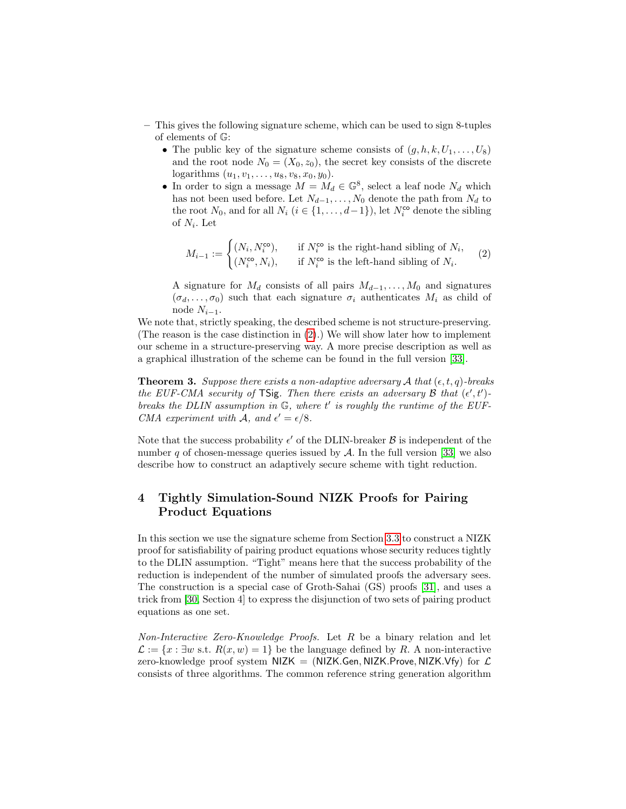- This gives the following signature scheme, which can be used to sign 8-tuples of elements of G:
	- The public key of the signature scheme consists of  $(g, h, k, U_1, \ldots, U_8)$ and the root node  $N_0 = (X_0, z_0)$ , the secret key consists of the discrete logarithms  $(u_1, v_1, \ldots, u_8, v_8, x_0, y_0)$ .
	- In order to sign a message  $M = M_d \in \mathbb{G}^8$ , select a leaf node  $N_d$  which has not been used before. Let  $N_{d-1}, \ldots, N_0$  denote the path from  $N_d$  to the root  $N_0$ , and for all  $N_i$   $(i \in \{1, ..., d-1\})$ , let  $N_i^{\text{co}}$  denote the sibling of  $N_i$ . Let

<span id="page-8-0"></span>
$$
M_{i-1} := \begin{cases} (N_i, N_i^{\text{co}}), & \text{if } N_i^{\text{co}} \text{ is the right-hand sibling of } N_i, \\ (N_i^{\text{co}}, N_i), & \text{if } N_i^{\text{co}} \text{ is the left-hand sibling of } N_i. \end{cases} \tag{2}
$$

A signature for  $M_d$  consists of all pairs  $M_{d-1}, \ldots, M_0$  and signatures  $(\sigma_d, \ldots, \sigma_0)$  such that each signature  $\sigma_i$  authenticates  $M_i$  as child of node  $N_{i-1}$ .

We note that, strictly speaking, the described scheme is not structure-preserving. (The reason is the case distinction in  $(2)$ .) We will show later how to implement our scheme in a structure-preserving way. A more precise description as well as a graphical illustration of the scheme can be found in the full version [\[33\]](#page-16-14).

**Theorem 3.** Suppose there exists a non-adaptive adversary A that  $(\epsilon, t, q)$ -breaks the EUF-CMA security of TSig. Then there exists an adversary  $\mathcal B$  that  $(\epsilon', t')$ breaks the DLIN assumption in  $G$ , where  $t'$  is roughly the runtime of the EUF-CMA experiment with A, and  $\epsilon' = \epsilon/8$ .

Note that the success probability  $\epsilon'$  of the DLIN-breaker  $\mathcal B$  is independent of the number q of chosen-message queries issued by  $\mathcal A$ . In the full version [\[33\]](#page-16-14) we also describe how to construct an adaptively secure scheme with tight reduction.

# <span id="page-8-1"></span>4 Tightly Simulation-Sound NIZK Proofs for Pairing Product Equations

In this section we use the signature scheme from Section [3.3](#page-7-0) to construct a NIZK proof for satisfiability of pairing product equations whose security reduces tightly to the DLIN assumption. "Tight" means here that the success probability of the reduction is independent of the number of simulated proofs the adversary sees. The construction is a special case of Groth-Sahai (GS) proofs [\[31\]](#page-16-8), and uses a trick from [\[30,](#page-16-9) Section 4] to express the disjunction of two sets of pairing product equations as one set.

Non-Interactive Zero-Knowledge Proofs. Let R be a binary relation and let  $\mathcal{L} := \{x : \exists w \text{ s.t. } R(x, w) = 1\}$  be the language defined by R. A non-interactive zero-knowledge proof system  $NIZK = (NIZK.Gen, NIZK.Prove, NIZK.Vfy)$  for  $\mathcal L$ consists of three algorithms. The common reference string generation algorithm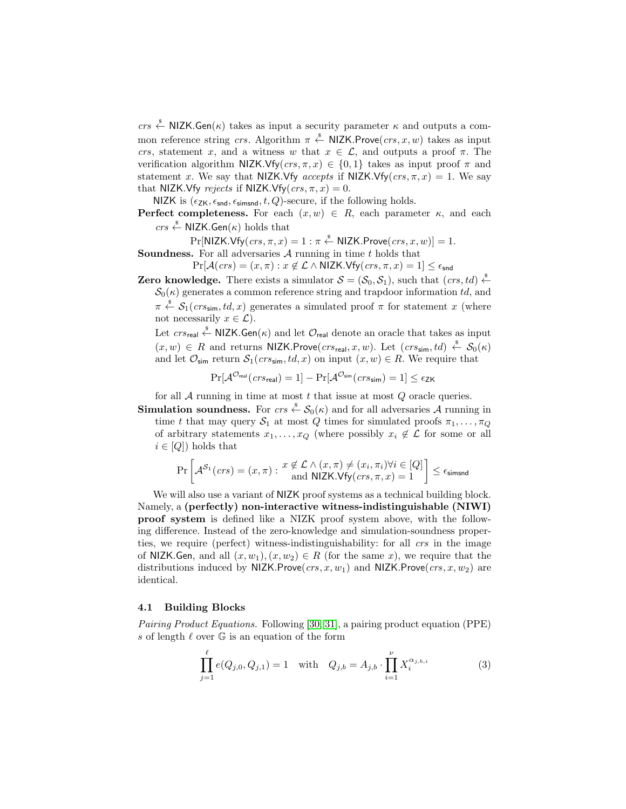crs  $\stackrel{\$}{\leftarrow}$  NIZK.Gen( $\kappa$ ) takes as input a security parameter  $\kappa$  and outputs a common reference string crs. Algorithm  $\pi \stackrel{\hspace{0.1em}\mathsf{\scriptscriptstyle\$}}{\leftarrow}$  NIZK.Prove $(crs, x, w)$  takes as input crs, statement x, and a witness w that  $x \in \mathcal{L}$ , and outputs a proof  $\pi$ . The verification algorithm NIZK.Vfy( $crs, \pi, x$ )  $\in \{0, 1\}$  takes as input proof  $\pi$  and statement x. We say that NIZK.Vfy accepts if NIZK.Vfy( $crs, \pi, x$ ) = 1. We say that NIZK.Vfy rejects if NIZK.Vfy( $crs, \pi, x$ ) = 0.

NIZK is  $(\epsilon_{ZK}, \epsilon_{\text{snd}}, \epsilon_{\text{simsnd}}, t, Q)$ -secure, if the following holds.

- **Perfect completeness.** For each  $(x, w) \in R$ , each parameter  $\kappa$ , and each  $\mathit{crs} \overset{\hspace{0.1em}\mathsf{\scriptscriptstyle\$}}{\leftarrow}$  NIZK.Gen( $\kappa$ ) holds that
- $\Pr[\mathsf{NIZK.Vfy}(crs, \pi, x) = 1 : \pi \overset{\hspace{0.1em}\mathsf{\scriptscriptstyle\$}}{\leftarrow} \mathsf{NIZK.Prove}(crs, x, w)] = 1.$ **Soundness.** For all adversaries  $A$  running in time t holds that
	- $Pr[\mathcal{A}(crs) = (x, \pi) : x \notin \mathcal{L} \land \mathsf{NIZK.Vfy}(crs, \pi, x) = 1] \leq \epsilon_{\mathsf{snd}}$
- **Zero knowledge.** There exists a simulator  $S = (\mathcal{S}_0, \mathcal{S}_1)$ , such that  $(crs, td) \stackrel{\$}{\leftarrow}$  $\mathcal{S}_0(\kappa)$  generates a common reference string and trapdoor information td, and  $\pi \stackrel{\hspace{0.1em}\mathsf{\scriptscriptstyle\$}}{\leftarrow} \mathcal{S}_1(crs_{\mathsf{sim}},td,x)$  generates a simulated proof  $\pi$  for statement x (where not necessarily  $x \in \mathcal{L}$ ).

Let  $\mathit{crs}_\mathsf{real} \overset{\hspace{0.1em}\mathsf{\scriptscriptstyle\$}}{\leftarrow} \mathsf{NIZK}.\mathsf{Gen}(\kappa)$  and let  $\mathcal{O}_\mathsf{real}$  denote an oracle that takes as input  $(x, w) \in R$  and returns NIZK.Prove $(crs_{real}, x, w)$ . Let  $(crs_{sim}, td) \stackrel{\$}{\leftarrow} S_0(\kappa)$ and let  $\mathcal{O}_{sim}$  return  $\mathcal{S}_1(crs_{sim}, td, x)$  on input  $(x, w) \in R$ . We require that

$$
\Pr[\mathcal{A}^{\mathcal{O}_{\text{real}}}(crs_{\text{real}}) = 1] - \Pr[\mathcal{A}^{\mathcal{O}_{\text{sim}}}(crs_{\text{sim}}) = 1] \le \epsilon_{\text{ZK}}
$$

for all  $A$  running in time at most  $t$  that issue at most  $Q$  oracle queries.

**Simulation soundness.** For  $\mathit{crs} \overset{\hspace{0.1em}\mathsf{\scriptscriptstyle\$}}{\leftarrow} \mathcal{S}_0(\kappa)$  and for all adversaries A running in time t that may query  $S_1$  at most Q times for simulated proofs  $\pi_1, \ldots, \pi_Q$ of arbitrary statements  $x_1, \ldots, x_Q$  (where possibly  $x_i \notin \mathcal{L}$  for some or all  $i \in [Q]$ ) holds that

$$
\Pr\left[\mathcal{A}^{\mathcal{S}_1}(\mathit{crs}) = (x,\pi) : \begin{matrix}x \notin \mathcal{L} \land (x,\pi) \neq (x_i,\pi_i) \forall i \in [Q] \\ \text{and NIZK.Vfy}(\mathit{crs},\pi,x) = 1\end{matrix}\right] \leq \epsilon_{\text{simsnd}}
$$

We will also use a variant of NIZK proof systems as a technical building block. Namely, a (perfectly) non-interactive witness-indistinguishable (NIWI) proof system is defined like a NIZK proof system above, with the following difference. Instead of the zero-knowledge and simulation-soundness properties, we require (perfect) witness-indistinguishability: for all crs in the image of NIZK.Gen, and all  $(x, w_1), (x, w_2) \in R$  (for the same x), we require that the distributions induced by NIZK.Prove $(crs, x, w_1)$  and NIZK.Prove $(crs, x, w_2)$  are identical.

### 4.1 Building Blocks

Pairing Product Equations. Following [\[30,](#page-16-9) [31\]](#page-16-8), a pairing product equation (PPE) s of length  $\ell$  over  $\mathbb G$  is an equation of the form

<span id="page-9-0"></span>
$$
\prod_{j=1}^{\ell} e(Q_{j,0}, Q_{j,1}) = 1 \quad \text{with} \quad Q_{j,b} = A_{j,b} \cdot \prod_{i=1}^{\nu} X_i^{\alpha_{j,b,i}} \tag{3}
$$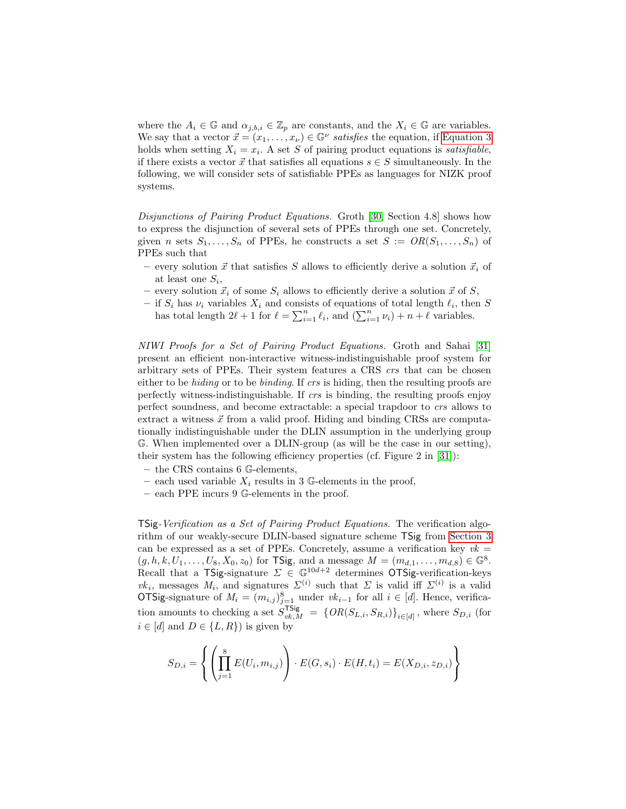where the  $A_i \in \mathbb{G}$  and  $\alpha_{j,b,i} \in \mathbb{Z}_p$  are constants, and the  $X_i \in \mathbb{G}$  are variables. We say that a vector  $\vec{x} = (x_1, \ldots, x_{\nu}) \in \mathbb{G}^{\nu}$  satisfies the equation, if [Equation 3](#page-9-0) holds when setting  $X_i = x_i$ . A set S of pairing product equations is *satisfiable*, if there exists a vector  $\vec{x}$  that satisfies all equations  $s \in S$  simultaneously. In the following, we will consider sets of satisfiable PPEs as languages for NIZK proof systems.

Disjunctions of Pairing Product Equations. Groth [\[30,](#page-16-9) Section 4.8] shows how to express the disjunction of several sets of PPEs through one set. Concretely, given n sets  $S_1, \ldots, S_n$  of PPEs, he constructs a set  $S := OR(S_1, \ldots, S_n)$  of PPEs such that

- every solution  $\vec{x}$  that satisfies S allows to efficiently derive a solution  $\vec{x}_i$  of at least one  $S_i$ ,
- every solution  $\vec{x}_i$  of some  $S_i$  allows to efficiently derive a solution  $\vec{x}$  of  $S$ ,
- if  $S_i$  has  $\nu_i$  variables  $X_i$  and consists of equations of total length  $\ell_i$ , then S has total length  $2\ell + 1$  for  $\ell = \sum_{i=1}^n \ell_i$ , and  $(\sum_{i=1}^n \nu_i) + n + \ell$  variables.

NIWI Proofs for a Set of Pairing Product Equations. Groth and Sahai [\[31\]](#page-16-8) present an efficient non-interactive witness-indistinguishable proof system for arbitrary sets of PPEs. Their system features a CRS crs that can be chosen either to be hiding or to be binding. If crs is hiding, then the resulting proofs are perfectly witness-indistinguishable. If crs is binding, the resulting proofs enjoy perfect soundness, and become extractable: a special trapdoor to crs allows to extract a witness  $\vec{x}$  from a valid proof. Hiding and binding CRSs are computationally indistinguishable under the DLIN assumption in the underlying group G. When implemented over a DLIN-group (as will be the case in our setting), their system has the following efficiency properties (cf. Figure 2 in [\[31\]](#page-16-8)):

- the CRS contains 6 G-elements,
- each used variable  $X_i$  results in 3 G-elements in the proof,
- each PPE incurs 9 G-elements in the proof.

TSig-Verification as a Set of Pairing Product Equations. The verification algorithm of our weakly-secure DLIN-based signature scheme TSig from [Section 3](#page-5-0) can be expressed as a set of PPEs. Concretely, assume a verification key  $vk =$  $(g, h, k, U_1, \ldots, U_8, X_0, z_0)$  for TSig, and a message  $M = (m_{d,1}, \ldots, m_{d,8}) \in \mathbb{G}^8$ . Recall that a TSig-signature  $\Sigma \in \mathbb{G}^{10d+2}$  determines OTSig-verification-keys vk<sub>i</sub>, messages  $M_i$ , and signatures  $\Sigma^{(i)}$  such that  $\Sigma$  is valid iff  $\Sigma^{(i)}$  is a valid OTSig-signature of  $M_i = (m_{i,j})_{j=1}^8$  under  $vk_{i-1}$  for all  $i \in [d]$ . Hence, verification amounts to checking a set  $S_{vk,M}^{\text{TSig}} = \{OR(S_{L,i}, S_{R,i})\}_{i \in [d]}$ , where  $S_{D,i}$  (for  $i \in [d]$  and  $D \in \{L, R\}$  is given by

$$
S_{D,i} = \left\{ \left( \prod_{j=1}^{8} E(U_i, m_{i,j}) \right) \cdot E(G, s_i) \cdot E(H, t_i) = E(X_{D,i}, z_{D,i}) \right\}
$$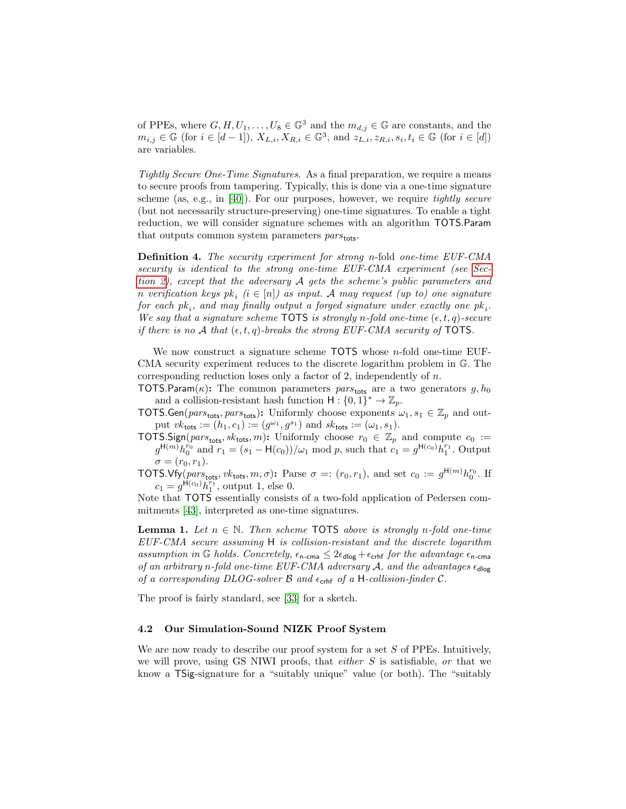of PPEs, where  $G, H, U_1, \ldots, U_8 \in \mathbb{G}^3$  and the  $m_{d,j} \in \mathbb{G}$  are constants, and the  $m_{i,j} \in \mathbb{G}$  (for  $i \in [d-1]$ ),  $X_{L,i}, X_{R,i} \in \mathbb{G}^3$ , and  $z_{L,i}, z_{R,i}, s_i, t_i \in \mathbb{G}$  (for  $i \in [d]$ ) are variables.

Tightly Secure One-Time Signatures. As a final preparation, we require a means to secure proofs from tampering. Typically, this is done via a one-time signature scheme (as, e.g., in [\[40\]](#page-17-5)). For our purposes, however, we require tightly secure (but not necessarily structure-preserving) one-time signatures. To enable a tight reduction, we will consider signature schemes with an algorithm TOTS.Param that outputs common system parameters  $pars_{\text{tots}}$ .

Definition 4. The security experiment for strong n-fold one-time EUF-CMA security is identical to the strong one-time EUF-CMA experiment (see [Sec](#page-4-0)[tion 2\)](#page-4-0), except that the adversary A gets the scheme's public parameters and n verification keys  $pk_i$   $(i \in [n])$  as input. A may request  $(up to)$  one signature  $for~each~pk<sub>i</sub>, and~may~finally~output~a~forget~signature~under~exactly~one~pk<sub>i</sub>.$ We say that a signature scheme TOTS is strongly n-fold one-time  $(\epsilon, t, q)$ -secure if there is no A that  $(\epsilon, t, q)$ -breaks the strong EUF-CMA security of TOTS.

We now construct a signature scheme TOTS whose n-fold one-time EUF-CMA security experiment reduces to the discrete logarithm problem in G. The corresponding reduction loses only a factor of 2, independently of n.

TOTS.Param( $\kappa$ ): The common parameters pars<sub>tots</sub> are a two generators g,  $h_0$ and a collision-resistant hash function  $H: \{0, 1\}^* \to \mathbb{Z}_p$ .

- TOTS.Gen( $pars_{\text{tots}}$ ,  $pars_{\text{tots}})$ : Uniformly choose exponents  $\omega_1, s_1 \in \mathbb{Z}_p$  and output  $vk_{\text{tots}} := (h_1, c_1) := (g^{\omega_1}, g^{s_1})$  and  $sk_{\text{tots}} := (\omega_1, s_1)$ .
- TOTS.Sign( $pars_{\text{tots}}$ ,  $sk_{\text{tots}}$ , m): Uniformly choose  $r_0 \in \mathbb{Z}_p$  and compute  $c_0 :=$  $g^{\mathsf{H}(m)}h_0^{r_0}$  and  $r_1 = (s_1 - \mathsf{H}(c_0))/\omega_1 \text{ mod } p$ , such that  $c_1 = g^{\mathsf{H}(c_0)}h_1^{r_1}$ . Output  $\sigma = (r_0, r_1).$
- TOTS. Vfy( $pars_{\text{tots}},$   $vk_{\text{tots}},$   $m, \sigma$ ): Parse  $\sigma =: (r_0, r_1)$ , and set  $c_0 := g^{\text{H}(m)} h_0^{r_0}$ . If  $c_1 = g^{\text{H}(c_0)} h_1^{r_1}$ , output 1, else 0.

Note that TOTS essentially consists of a two-fold application of Pedersen commitments [\[43\]](#page-17-11), interpreted as one-time signatures.

**Lemma 1.** Let  $n \in \mathbb{N}$ . Then scheme TOTS above is strongly n-fold one-time EUF-CMA secure assuming H is collision-resistant and the discrete logarithm assumption in G holds. Concretely,  $\epsilon_{\text{n-cma}} \leq 2\epsilon_{\text{dlog}} + \epsilon_{\text{crhf}}$  for the advantage  $\epsilon_{\text{n-cma}}$ of an arbitrary n-fold one-time EUF-CMA adversary  $A$ , and the advantages  $\epsilon_{\text{dlog}}$ of a corresponding DLOG-solver  $\beta$  and  $\epsilon_{\rm{crhf}}$  of a H-collision-finder  $\mathcal{C}$ .

The proof is fairly standard, see [\[33\]](#page-16-14) for a sketch.

### 4.2 Our Simulation-Sound NIZK Proof System

We are now ready to describe our proof system for a set  $S$  of PPEs. Intuitively, we will prove, using GS NIWI proofs, that either S is satisfiable, or that we know a TSig-signature for a "suitably unique" value (or both). The "suitably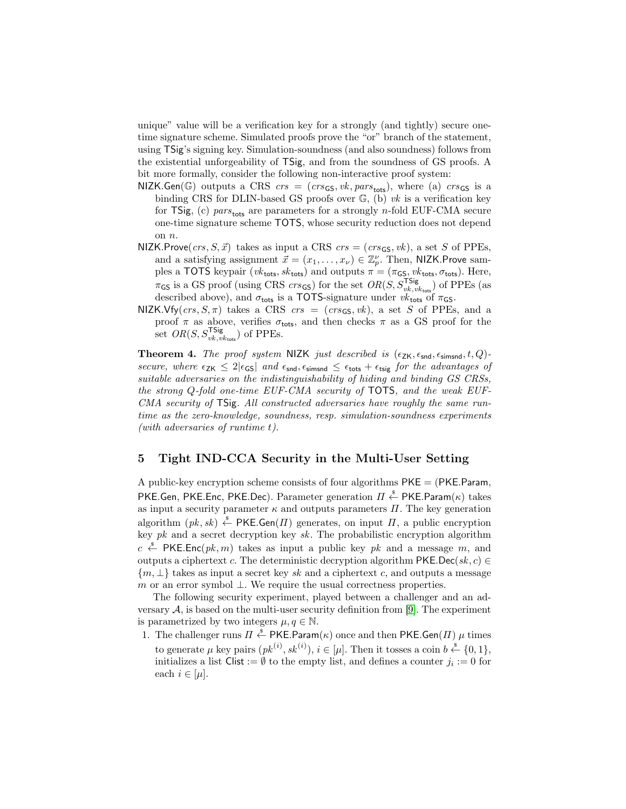unique" value will be a verification key for a strongly (and tightly) secure onetime signature scheme. Simulated proofs prove the "or" branch of the statement, using TSig's signing key. Simulation-soundness (and also soundness) follows from the existential unforgeability of TSig, and from the soundness of GS proofs. A bit more formally, consider the following non-interactive proof system:

- NIZK.Gen(G) outputs a CRS  $crs = (crs_{\text{GS}}, vk, pars_{\text{tots}})$ , where (a)  $crs_{\text{GS}}$  is a binding CRS for DLIN-based GS proofs over  $\mathbb{G}$ , (b) vk is a verification key for TSig, (c) pars<sub>tots</sub> are parameters for a strongly n-fold EUF-CMA secure one-time signature scheme TOTS, whose security reduction does not depend on n.
- NIZK.Prove $(crs, S, \vec{x})$  takes as input a CRS  $crs = (crs_{\text{GS}}, vk)$ , a set S of PPEs, and a satisfying assignment  $\vec{x} = (x_1, \dots, x_{\nu}) \in \mathbb{Z}_{p}^{\nu}$ . Then, NIZK.Prove samples a TOTS keypair ( $vk_{\text{tots}}$ ,  $sk_{\text{tots}}$ ) and outputs  $\pi = (\pi_{\text{GS}}, vk_{\text{tots}}, \sigma_{\text{tots}})$ . Here,  $\pi$ <sub>GS</sub> is a GS proof (using CRS *crs*<sub>GS</sub>) for the set  $OR(S, S_{vk,vk_{\text{tots}}}^{TSig})$  of PPEs (as described above), and  $\sigma_{\text{tots}}$  is a TOTS-signature under  $vk_{\text{tots}}$  of  $\pi_{\text{GS}}$ .
- NIZK.Vfy(crs,  $S, \pi$ ) takes a CRS crs = (crs<sub>GS</sub>, vk), a set S of PPEs, and a proof  $\pi$  as above, verifies  $\sigma_{\text{tots}}$ , and then checks  $\pi$  as a GS proof for the set  $OR(S, S_{vk,vk_{\text{tots}}}^{\text{TSig}})$  of PPEs.

**Theorem 4.** The proof system NIZK just described is  $(\epsilon_{ZK}, \epsilon_{\text{snd}}, \epsilon_{\text{simsnd}}, t, Q)$ secure, where  $\epsilon_{ZK} \leq 2|\epsilon_{GS}|$  and  $\epsilon_{\text{snd}}, \epsilon_{\text{simsnd}} \leq \epsilon_{\text{tots}} + \epsilon_{\text{tsig}}$  for the advantages of suitable adversaries on the indistinguishability of hiding and binding GS CRSs, the strong Q-fold one-time EUF-CMA security of TOTS, and the weak EUF-CMA security of TSig. All constructed adversaries have roughly the same runtime as the zero-knowledge, soundness, resp. simulation-soundness experiments (with adversaries of runtime t).

### <span id="page-12-0"></span>5 Tight IND-CCA Security in the Multi-User Setting

A public-key encryption scheme consists of four algorithms  $PKE = (PKE.Param,$ PKE.Gen, PKE.Enc, PKE.Dec). Parameter generation  $\overline{H} \stackrel{\hspace{0.1em}\mathsf{\scriptscriptstyle\$}}{\leftarrow}$  PKE.Param $(\kappa)$  takes as input a security parameter  $\kappa$  and outputs parameters  $\Pi$ . The key generation algorithm  $(pk, sk) \stackrel{\$}{\leftarrow}$  PKE. Gen $(\Pi)$  generates, on input  $\Pi$ , a public encryption key  $pk$  and a secret decryption key  $sk$ . The probabilistic encryption algorithm  $c \stackrel{\hspace{0.1em}\mathsf{\scriptscriptstyle\$}}{\leftarrow}$  PKE.Enc $(pk, m)$  takes as input a public key pk and a message m, and outputs a ciphertext c. The deterministic decryption algorithm PKE.Dec(sk, c)  $\in$  ${m, \perp}$  takes as input a secret key sk and a ciphertext c, and outputs a message m or an error symbol  $\perp$ . We require the usual correctness properties.

The following security experiment, played between a challenger and an adversary  $A$ , is based on the multi-user security definition from [\[9\]](#page-15-0). The experiment is parametrized by two integers  $\mu, q \in \mathbb{N}$ .

1. The challenger runs  $\Pi \stackrel{\$}{\leftarrow} PKE.Param(\kappa)$  once and then PKE.Gen( $\Pi$ )  $\mu$  times to generate  $\mu$  key pairs  $(pk^{(i)}, sk^{(i)}), i \in [\mu]$ . Then it tosses a coin  $b \stackrel{\$}{\leftarrow} \{0,1\},\$ initializes a list  $Clist := \emptyset$  to the empty list, and defines a counter  $j_i := 0$  for each  $i \in [\mu]$ .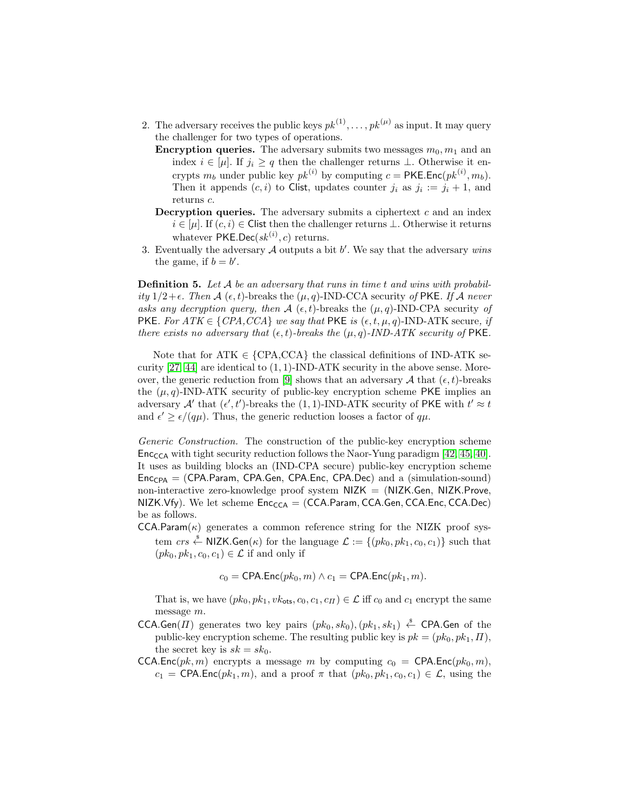- 2. The adversary receives the public keys  $pk^{(1)}, \ldots, pk^{(\mu)}$  as input. It may query the challenger for two types of operations.
	- **Encryption queries.** The adversary submits two messages  $m_0, m_1$  and an index  $i \in [\mu]$ . If  $j_i \geq q$  then the challenger returns  $\bot$ . Otherwise it encrypts  $m_b$  under public key  $pk^{(i)}$  by computing  $c = \mathsf{PKE}.\mathsf{Enc}(pk^{(i)}, m_b).$ Then it appends  $(c, i)$  to Clist, updates counter  $j_i$  as  $j_i := j_i + 1$ , and returns c.
	- **Decryption queries.** The adversary submits a ciphertext  $c$  and an index  $i \in [\mu]$ . If  $(c, i) \in$  Clist then the challenger returns  $\bot$ . Otherwise it returns whatever  $PKE.Dec(sk^{(i)}, c)$  returns.
- 3. Eventually the adversary  $A$  outputs a bit  $b'$ . We say that the adversary wins the game, if  $b = b'$ .

**Definition 5.** Let  $A$  be an adversary that runs in time t and wins with probability  $1/2+\epsilon$ . Then A ( $\epsilon$ , t)-breaks the  $(\mu, q)$ -IND-CCA security of PKE. If A never asks any decryption query, then  $\mathcal{A}(\epsilon, t)$ -breaks the  $(\mu, q)$ -IND-CPA security of PKE. For  $ATK \in \{CPA, CCA\}$  we say that PKE is  $(\epsilon, t, \mu, q)$ -IND-ATK secure, if there exists no adversary that  $(\epsilon, t)$ -breaks the  $(\mu, q)$ -IND-ATK security of PKE.

Note that for ATK  $\in \{CPA, CCA\}$  the classical definitions of IND-ATK security  $[27, 44]$  $[27, 44]$  are identical to  $(1, 1)$ -IND-ATK security in the above sense. More-over, the generic reduction from [\[9\]](#page-15-0) shows that an adversary A that  $(\epsilon, t)$ -breaks the  $(\mu, q)$ -IND-ATK security of public-key encryption scheme PKE implies an adversary A' that  $(\epsilon', t')$ -breaks the (1, 1)-IND-ATK security of PKE with  $t' \approx t$ and  $\epsilon' \geq \epsilon/(q\mu)$ . Thus, the generic reduction looses a factor of  $q\mu$ .

Generic Construction. The construction of the public-key encryption scheme  $Enc_{CCA}$  with tight security reduction follows the Naor-Yung paradigm [\[42,](#page-17-6) [45,](#page-17-12) [40\]](#page-17-5). It uses as building blocks an (IND-CPA secure) public-key encryption scheme  $Enc<sub>CPA</sub>$  = (CPA.Param, CPA.Gen, CPA.Enc, CPA.Dec) and a (simulation-sound) non-interactive zero-knowledge proof system  $NIZK = (NIZK.Gen, NIZK.Prove,$ NIZK.Vfy). We let scheme  $Enc_{CA} = (CCA.Param, CCA.Gen, CCA.Enc, CCA Dec)$ be as follows.

 $CCA.Param(\kappa)$  generates a common reference string for the NIZK proof system  $\mathit{crs} \overset{\hspace{0.1em}\mathsf{\scriptscriptstyle\$}}{\leftarrow}$  NIZK.Gen $(\kappa)$  for the language  $\mathcal{L} := \{(pk_0, pk_1, c_0, c_1)\}$  such that  $(pk_0, pk_1, c_0, c_1) \in \mathcal{L}$  if and only if

 $c_0 = \text{CPA}.\text{Enc}(pk_0, m) \wedge c_1 = \text{CPA}.\text{Enc}(pk_1, m).$ 

That is, we have  $(pk_0, pk_1, vk_{ots}, c_0, c_1, c_{II}) \in \mathcal{L}$  iff  $c_0$  and  $c_1$  encrypt the same message m.

- CCA.Gen( $\Pi$ ) generates two key pairs  $(pk_0, sk_0), (pk_1, sk_1) \stackrel{\$}{\leftarrow}$  CPA.Gen of the public-key encryption scheme. The resulting public key is  $pk = (pk_0, pk_1, \Pi)$ , the secret key is  $sk = sk_0$ .
- CCA.Enc( $pk, m$ ) encrypts a message m by computing  $c_0 = \text{CPA}$ .Enc( $pk_0, m$ ),  $c_1 = \text{CPA}.\text{Enc}(pk_1, m)$ , and a proof  $\pi$  that  $(pk_0, pk_1, c_0, c_1) \in \mathcal{L}$ , using the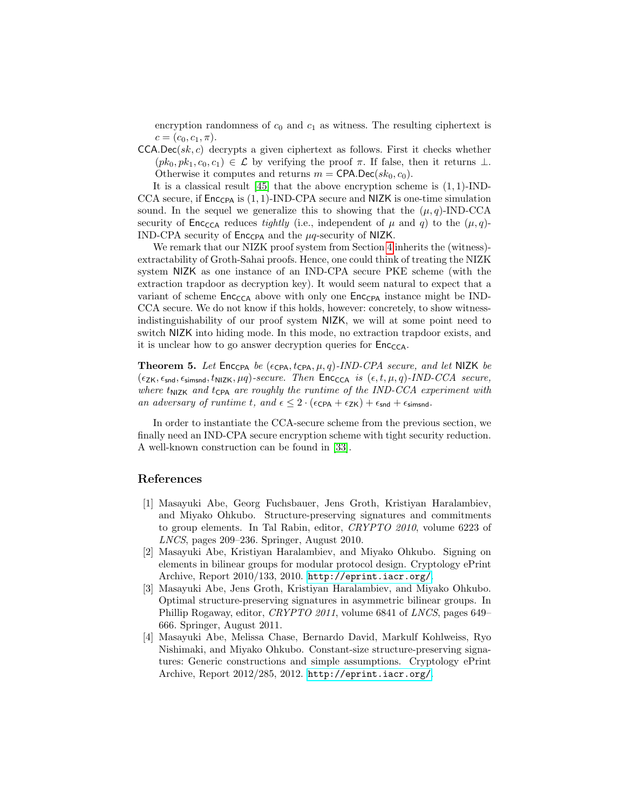encryption randomness of  $c_0$  and  $c_1$  as witness. The resulting ciphertext is  $c = (c_0, c_1, \pi).$ 

 $CCA.$ Dec(sk, c) decrypts a given ciphertext as follows. First it checks whether  $(pk_0, pk_1, c_0, c_1) \in \mathcal{L}$  by verifying the proof  $\pi$ . If false, then it returns  $\perp$ . Otherwise it computes and returns  $m = \text{CPA.Dec}(sk_0, c_0)$ .

It is a classical result  $[45]$  that the above encryption scheme is  $(1, 1)$ -IND-CCA secure, if  $\mathsf{Enc}_{\mathsf{CPA}}$  is (1, 1)-IND-CPA secure and NIZK is one-time simulation sound. In the sequel we generalize this to showing that the  $(\mu, q)$ -IND-CCA security of  $\mathsf{Enc}_{\mathsf{CCA}}$  reduces tightly (i.e., independent of  $\mu$  and  $q$ ) to the  $(\mu, q)$ -IND-CPA security of  $\mathsf{Enc_{CPA}}$  and the  $\mu q$ -security of NIZK.

We remark that our NIZK proof system from Section [4](#page-8-1) inherits the (witness)extractability of Groth-Sahai proofs. Hence, one could think of treating the NIZK system NIZK as one instance of an IND-CPA secure PKE scheme (with the extraction trapdoor as decryption key). It would seem natural to expect that a variant of scheme  $Enc_{CA}$  above with only one  $Enc_{CPA}$  instance might be IND-CCA secure. We do not know if this holds, however: concretely, to show witnessindistinguishability of our proof system NIZK, we will at some point need to switch NIZK into hiding mode. In this mode, no extraction trapdoor exists, and it is unclear how to go answer decryption queries for  $Enc_{CCA}$ .

**Theorem 5.** Let Enc<sub>CPA</sub> be  $(\epsilon_{\text{CPA}}, t_{\text{CPA}}, \mu, q)$ -IND-CPA secure, and let NIZK be  $(\epsilon_{ZK}, \epsilon_{\text{snd}}, \epsilon_{\text{simsnd}}, t_{NIZK}, \mu q)$ -secure. Then Enc<sub>CCA</sub> is  $(\epsilon, t, \mu, q)$ -IND-CCA secure, where  $t_{\text{NIZK}}$  and  $t_{\text{CPA}}$  are roughly the runtime of the IND-CCA experiment with an adversary of runtime t, and  $\epsilon \leq 2 \cdot (\epsilon_{\text{CPA}} + \epsilon_{\text{ZK}}) + \epsilon_{\text{snd}} + \epsilon_{\text{simsnd}}$ .

In order to instantiate the CCA-secure scheme from the previous section, we finally need an IND-CPA secure encryption scheme with tight security reduction. A well-known construction can be found in [\[33\]](#page-16-14).

## References

- <span id="page-14-2"></span>[1] Masayuki Abe, Georg Fuchsbauer, Jens Groth, Kristiyan Haralambiev, and Miyako Ohkubo. Structure-preserving signatures and commitments to group elements. In Tal Rabin, editor, CRYPTO 2010, volume 6223 of LNCS, pages 209–236. Springer, August 2010.
- <span id="page-14-1"></span>[2] Masayuki Abe, Kristiyan Haralambiev, and Miyako Ohkubo. Signing on elements in bilinear groups for modular protocol design. Cryptology ePrint Archive, Report 2010/133, 2010. <http://eprint.iacr.org/>.
- <span id="page-14-0"></span>[3] Masayuki Abe, Jens Groth, Kristiyan Haralambiev, and Miyako Ohkubo. Optimal structure-preserving signatures in asymmetric bilinear groups. In Phillip Rogaway, editor, CRYPTO 2011, volume 6841 of LNCS, pages 649– 666. Springer, August 2011.
- <span id="page-14-3"></span>[4] Masayuki Abe, Melissa Chase, Bernardo David, Markulf Kohlweiss, Ryo Nishimaki, and Miyako Ohkubo. Constant-size structure-preserving signatures: Generic constructions and simple assumptions. Cryptology ePrint Archive, Report 2012/285, 2012. <http://eprint.iacr.org/>.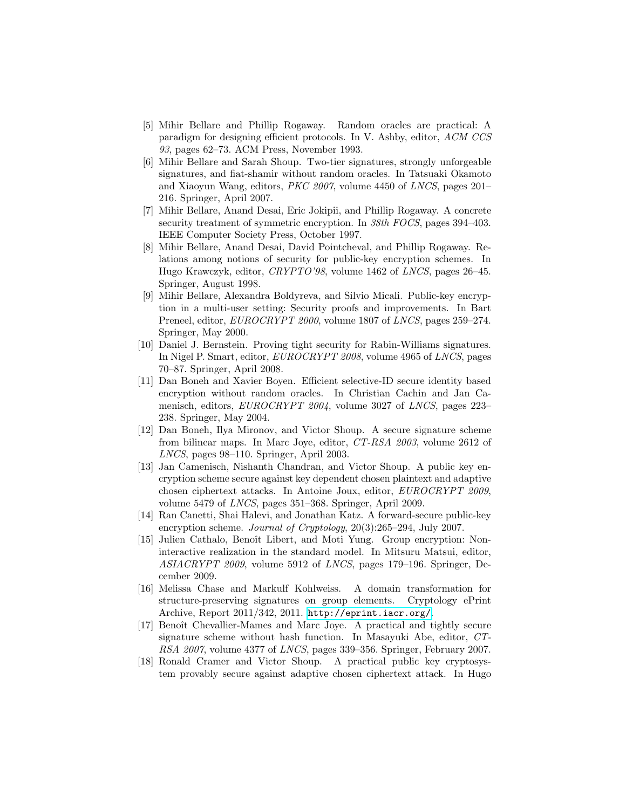- <span id="page-15-6"></span>[5] Mihir Bellare and Phillip Rogaway. Random oracles are practical: A paradigm for designing efficient protocols. In V. Ashby, editor, ACM CCS 93, pages 62–73. ACM Press, November 1993.
- <span id="page-15-12"></span>[6] Mihir Bellare and Sarah Shoup. Two-tier signatures, strongly unforgeable signatures, and fiat-shamir without random oracles. In Tatsuaki Okamoto and Xiaoyun Wang, editors, PKC 2007, volume 4450 of LNCS, pages 201– 216. Springer, April 2007.
- <span id="page-15-2"></span>[7] Mihir Bellare, Anand Desai, Eric Jokipii, and Phillip Rogaway. A concrete security treatment of symmetric encryption. In 38th FOCS, pages 394–403. IEEE Computer Society Press, October 1997.
- <span id="page-15-1"></span>[8] Mihir Bellare, Anand Desai, David Pointcheval, and Phillip Rogaway. Relations among notions of security for public-key encryption schemes. In Hugo Krawczyk, editor, CRYPTO'98, volume 1462 of LNCS, pages 26–45. Springer, August 1998.
- <span id="page-15-0"></span>[9] Mihir Bellare, Alexandra Boldyreva, and Silvio Micali. Public-key encryption in a multi-user setting: Security proofs and improvements. In Bart Preneel, editor, *EUROCRYPT* 2000, volume 1807 of *LNCS*, pages 259–274. Springer, May 2000.
- <span id="page-15-11"></span>[10] Daniel J. Bernstein. Proving tight security for Rabin-Williams signatures. In Nigel P. Smart, editor, EUROCRYPT 2008, volume 4965 of LNCS, pages 70–87. Springer, April 2008.
- <span id="page-15-3"></span>[11] Dan Boneh and Xavier Boyen. Efficient selective-ID secure identity based encryption without random oracles. In Christian Cachin and Jan Camenisch, editors, *EUROCRYPT* 2004, volume 3027 of *LNCS*, pages 223– 238. Springer, May 2004.
- <span id="page-15-9"></span>[12] Dan Boneh, Ilya Mironov, and Victor Shoup. A secure signature scheme from bilinear maps. In Marc Joye, editor, CT-RSA 2003, volume 2612 of LNCS, pages 98–110. Springer, April 2003.
- <span id="page-15-8"></span>[13] Jan Camenisch, Nishanth Chandran, and Victor Shoup. A public key encryption scheme secure against key dependent chosen plaintext and adaptive chosen ciphertext attacks. In Antoine Joux, editor, EUROCRYPT 2009, volume 5479 of LNCS, pages 351–368. Springer, April 2009.
- <span id="page-15-5"></span>[14] Ran Canetti, Shai Halevi, and Jonathan Katz. A forward-secure public-key encryption scheme. *Journal of Cryptology*, 20(3):265–294, July 2007.
- <span id="page-15-13"></span>[15] Julien Cathalo, Benoît Libert, and Moti Yung. Group encryption: Noninteractive realization in the standard model. In Mitsuru Matsui, editor, ASIACRYPT 2009, volume 5912 of LNCS, pages 179–196. Springer, December 2009.
- <span id="page-15-7"></span>[16] Melissa Chase and Markulf Kohlweiss. A domain transformation for structure-preserving signatures on group elements. Cryptology ePrint Archive, Report 2011/342, 2011. <http://eprint.iacr.org/>.
- <span id="page-15-10"></span>[17] Benoˆıt Chevallier-Mames and Marc Joye. A practical and tightly secure signature scheme without hash function. In Masayuki Abe, editor, CT-RSA 2007, volume 4377 of LNCS, pages 339–356. Springer, February 2007.
- <span id="page-15-4"></span>[18] Ronald Cramer and Victor Shoup. A practical public key cryptosystem provably secure against adaptive chosen ciphertext attack. In Hugo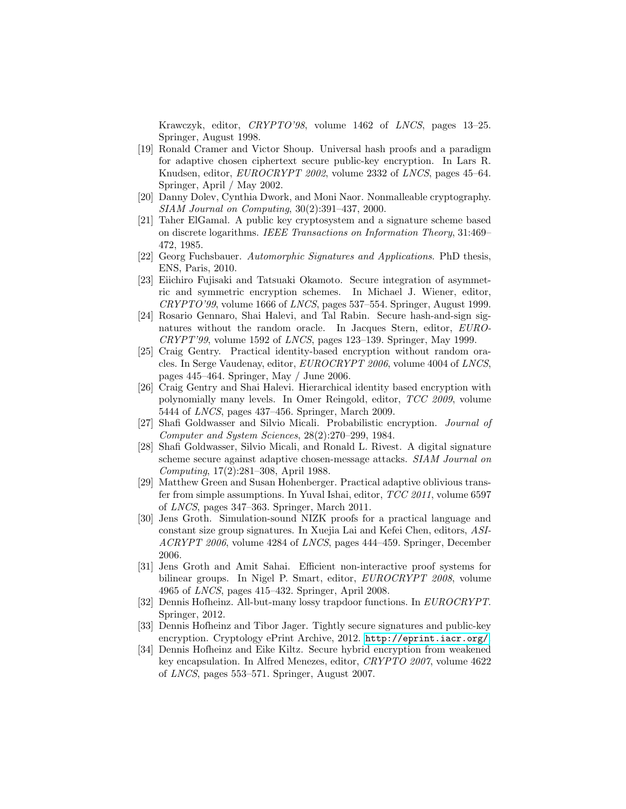Krawczyk, editor, CRYPTO'98, volume 1462 of LNCS, pages 13–25. Springer, August 1998.

- <span id="page-16-4"></span>[19] Ronald Cramer and Victor Shoup. Universal hash proofs and a paradigm for adaptive chosen ciphertext secure public-key encryption. In Lars R. Knudsen, editor, EUROCRYPT 2002, volume 2332 of LNCS, pages 45–64. Springer, April / May 2002.
- <span id="page-16-0"></span>[20] Danny Dolev, Cynthia Dwork, and Moni Naor. Nonmalleable cryptography. SIAM Journal on Computing, 30(2):391–437, 2000.
- <span id="page-16-2"></span>[21] Taher ElGamal. A public key cryptosystem and a signature scheme based on discrete logarithms. IEEE Transactions on Information Theory, 31:469– 472, 1985.
- <span id="page-16-11"></span>[22] Georg Fuchsbauer. Automorphic Signatures and Applications. PhD thesis, ENS, Paris, 2010.
- <span id="page-16-7"></span>[23] Eiichiro Fujisaki and Tatsuaki Okamoto. Secure integration of asymmetric and symmetric encryption schemes. In Michael J. Wiener, editor,  $CRYPTO'39$ , volume 1666 of *LNCS*, pages 537–554. Springer, August 1999.
- <span id="page-16-10"></span>[24] Rosario Gennaro, Shai Halevi, and Tal Rabin. Secure hash-and-sign signatures without the random oracle. In Jacques Stern, editor, EURO-CRYPT'99, volume 1592 of LNCS, pages 123–139. Springer, May 1999.
- <span id="page-16-5"></span>[25] Craig Gentry. Practical identity-based encryption without random oracles. In Serge Vaudenay, editor, EUROCRYPT 2006, volume 4004 of LNCS, pages 445–464. Springer, May / June 2006.
- <span id="page-16-6"></span>[26] Craig Gentry and Shai Halevi. Hierarchical identity based encryption with polynomially many levels. In Omer Reingold, editor, TCC 2009, volume 5444 of LNCS, pages 437–456. Springer, March 2009.
- <span id="page-16-15"></span>[27] Shafi Goldwasser and Silvio Micali. Probabilistic encryption. Journal of Computer and System Sciences, 28(2):270–299, 1984.
- <span id="page-16-13"></span>[28] Shafi Goldwasser, Silvio Micali, and Ronald L. Rivest. A digital signature scheme secure against adaptive chosen-message attacks. SIAM Journal on Computing, 17(2):281–308, April 1988.
- <span id="page-16-12"></span>[29] Matthew Green and Susan Hohenberger. Practical adaptive oblivious transfer from simple assumptions. In Yuval Ishai, editor, TCC 2011, volume 6597 of LNCS, pages 347–363. Springer, March 2011.
- <span id="page-16-9"></span>[30] Jens Groth. Simulation-sound NIZK proofs for a practical language and constant size group signatures. In Xuejia Lai and Kefei Chen, editors, ASI-ACRYPT 2006, volume 4284 of LNCS, pages 444–459. Springer, December 2006.
- <span id="page-16-8"></span>[31] Jens Groth and Amit Sahai. Efficient non-interactive proof systems for bilinear groups. In Nigel P. Smart, editor, EUROCRYPT 2008, volume 4965 of LNCS, pages 415–432. Springer, April 2008.
- <span id="page-16-1"></span>[32] Dennis Hofheinz. All-but-many lossy trapdoor functions. In EUROCRYPT. Springer, 2012.
- <span id="page-16-14"></span>[33] Dennis Hofheinz and Tibor Jager. Tightly secure signatures and public-key encryption. Cryptology ePrint Archive, 2012. <http://eprint.iacr.org/>.
- <span id="page-16-3"></span>[34] Dennis Hofheinz and Eike Kiltz. Secure hybrid encryption from weakened key encapsulation. In Alfred Menezes, editor, CRYPTO 2007, volume 4622 of LNCS, pages 553–571. Springer, August 2007.